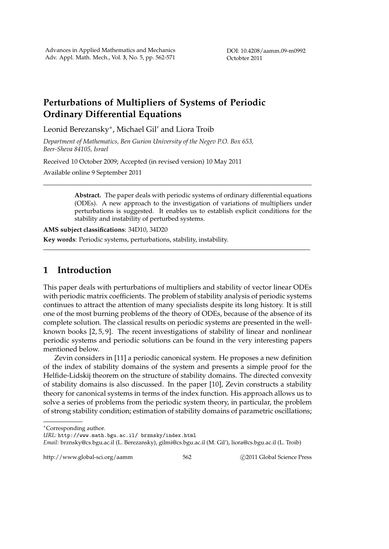DOI: 10.4208/aamm.09-m0992 Octobter 2011

# **Perturbations of Multipliers of Systems of Periodic Ordinary Differential Equations**

Leonid Berezansky*∗* , Michael Gil' and Liora Troib

*Department of Mathematics, Ben Gurion University of the Negev P.O. Box 653, Beer-Sheva 84105, Israel*

Received 10 October 2009; Accepted (in revised version) 10 May 2011

Available online 9 September 2011

**Abstract.** The paper deals with periodic systems of ordinary differential equations (ODEs). A new approach to the investigation of variations of multipliers under perturbations is suggested. It enables us to establish explicit conditions for the stability and instability of perturbed systems.

**AMS subject classifications**: 34D10, 34D20

**Key words**: Periodic systems, perturbations, stability, instability.

## **1 Introduction**

This paper deals with perturbations of multipliers and stability of vector linear ODEs with periodic matrix coefficients. The problem of stability analysis of periodic systems continues to attract the attention of many specialists despite its long history. It is still one of the most burning problems of the theory of ODEs, because of the absence of its complete solution. The classical results on periodic systems are presented in the wellknown books [2, 5, 9]. The recent investigations of stability of linear and nonlinear periodic systems and periodic solutions can be found in the very interesting papers mentioned below.

Zevin considers in [11] a periodic canonical system. He proposes a new definition of the index of stability domains of the system and presents a simple proof for the Helfide-Lidskij theorem on the structure of stability domains. The directed convexity of stability domains is also discussed. In the paper [10], Zevin constructs a stability theory for canonical systems in terms of the index function. His approach allows us to solve a series of problems from the periodic system theory, in particular, the problem of strong stability condition; estimation of stability domains of parametric oscillations;

*Email:* brznsky@cs.bgu.ac.il (L. Berezansky), gilmi@cs.bgu.ac.il (M. Gil'), liora@cs.bgu.ac.il (L. Troib)

http://www.global-sci.org/aamm 562 *bitp://www.global-sci.org/aamm* 562 *bitp://www.global-sci.org/aamm* 

*<sup>∗</sup>*Corresponding author.

*URL:* http://www.math.bgu.ac.il/ brznsky/index.html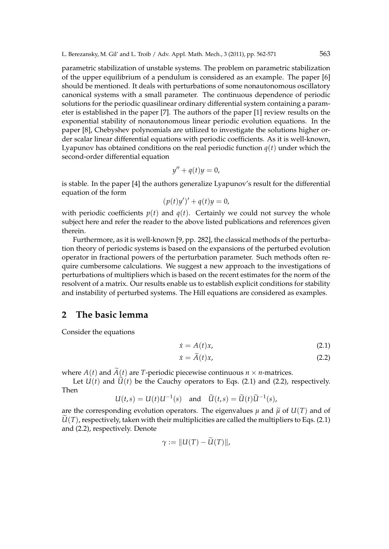parametric stabilization of unstable systems. The problem on parametric stabilization of the upper equilibrium of a pendulum is considered as an example. The paper [6] should be mentioned. It deals with perturbations of some nonautonomous oscillatory canonical systems with a small parameter. The continuous dependence of periodic solutions for the periodic quasilinear ordinary differential system containing a parameter is established in the paper [7]. The authors of the paper [1] review results on the exponential stability of nonautonomous linear periodic evolution equations. In the paper [8], Chebyshev polynomials are utilized to investigate the solutions higher order scalar linear differential equations with periodic coefficients. As it is well-known, Lyapunov has obtained conditions on the real periodic function  $q(t)$  under which the second-order differential equation

$$
y'' + q(t)y = 0,
$$

is stable. In the paper [4] the authors generalize Lyapunov's result for the differential equation of the form

$$
(p(t)y')' + q(t)y = 0,
$$

with periodic coefficients  $p(t)$  and  $q(t)$ . Certainly we could not survey the whole subject here and refer the reader to the above listed publications and references given therein.

Furthermore, as it is well-known [9, pp. 282], the classical methods of the perturbation theory of periodic systems is based on the expansions of the perturbed evolution operator in fractional powers of the perturbation parameter. Such methods often require cumbersome calculations. We suggest a new approach to the investigations of perturbations of multipliers which is based on the recent estimates for the norm of the resolvent of a matrix. Our results enable us to establish explicit conditions for stability and instability of perturbed systems. The Hill equations are considered as examples.

#### **2 The basic lemma**

Consider the equations

$$
\dot{x} = A(t)x,\tag{2.1}
$$

$$
\dot{x} = \tilde{A}(t)x,\tag{2.2}
$$

where  $A(t)$  and  $\widetilde{A}(t)$  are *T*-periodic piecewise continuous  $n \times n$ -matrices.

Let  $U(t)$  and  $U(t)$  be the Cauchy operators to Eqs. (2.1) and (2.2), respectively. Then

$$
U(t,s) = U(t)U^{-1}(s) \quad \text{and} \quad \widetilde{U}(t,s) = \widetilde{U}(t)\widetilde{U}^{-1}(s),
$$

are the corresponding evolution operators. The eigenvalues  $\mu$  and  $\tilde{\mu}$  of  $U(T)$  and of  $U(T)$ , respectively, taken with their multiplicities are called the multipliers to Eqs.  $(2.1)$ and (2.2), respectively. Denote

$$
\gamma := \|U(T) - U(T)\|,
$$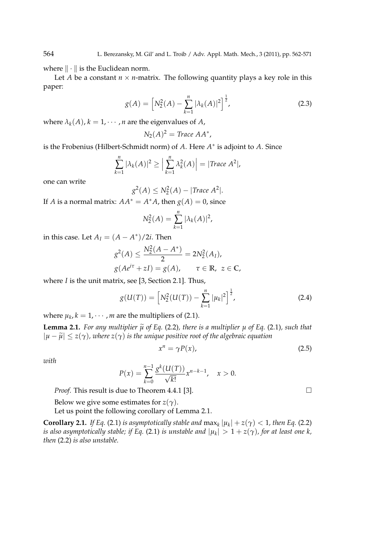where *∥ · ∥* is the Euclidean norm.

Let *A* be a constant  $n \times n$ -matrix. The following quantity plays a key role in this paper:

$$
g(A) = \left[ N_2^2(A) - \sum_{k=1}^n |\lambda_k(A)|^2 \right]^{\frac{1}{2}},
$$
\n(2.3)

where  $\lambda_k(A)$ ,  $k = 1, \dots, n$  are the eigenvalues of *A*,

$$
N_2(A)^2 = \text{Trace } AA^*,
$$

is the Frobenius (Hilbert-Schmidt norm) of *A*. Here *A ∗* is adjoint to *A*. Since

$$
\sum_{k=1}^n |\lambda_k(A)|^2 \ge \Big|\sum_{k=1}^n \lambda_k^2(A)\Big| = |Trace\ A^2|,
$$

one can write

$$
g^2(A) \leq N_2^2(A) - |\text{Trace } A^2|.
$$

If *A* is a normal matrix:  $AA^* = A^*A$ , then  $g(A) = 0$ , since

$$
N_2^2(A) = \sum_{k=1}^n |\lambda_k(A)|^2,
$$

in this case. Let  $A_I = (A - A^*)/2i$ . Then

$$
g^{2}(A) \le \frac{N_{2}^{2}(A - A^{*})}{2} = 2N_{2}^{2}(A_{I}),
$$
  
 
$$
g(Ae^{i\tau} + zI) = g(A), \qquad \tau \in \mathbb{R}, \ z \in \mathbb{C},
$$

where *I* is the unit matrix, see [3, Section 2.1]. Thus,

$$
g(U(T)) = \left[ N_2^2(U(T)) - \sum_{k=1}^n |\mu_k|^2 \right]^{\frac{1}{2}},
$$
\n(2.4)

where  $\mu_k$ ,  $k = 1, \cdots, m$  are the multipliers of (2.1).

**Lemma 2.1.** For any multiplier  $\tilde{\mu}$  of Eq. (2.2), there is a multiplier  $\mu$  of Eq. (2.1), such that  $|\mu - \tilde{\mu}| \leq z(\gamma)$ *, where*  $z(\gamma)$  *is the unique positive root of the algebraic equation* 

$$
x^n = \gamma P(x), \tag{2.5}
$$

*with*

$$
P(x) = \sum_{k=0}^{n-1} \frac{g^k (U(T))}{\sqrt{k!}} x^{n-k-1}, \quad x > 0.
$$

*Proof.* This result is due to Theorem 4.4.1 [3]. □

Below we give some estimates for *z*( $\gamma$ ).

Let us point the following corollary of Lemma 2.1.

**Corollary 2.1.** *If Eq.* (2.1) *is asymptotically stable and*  $\max_k |\mu_k| + z(\gamma) < 1$ *, then Eq.* (2.2) *is also asymptotically stable; if Eq.* (2.1) *is unstable and*  $|\mu_k| > 1 + z(\gamma)$ , for at least one k, *then* (2.2) *is also unstable.*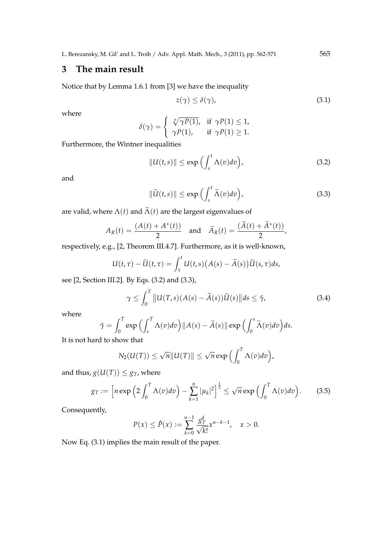# **3 The main result**

Notice that by Lemma 1.6.1 from [3] we have the inequality

$$
z(\gamma) \le \delta(\gamma),\tag{3.1}
$$

where

$$
\delta(\gamma) = \begin{cases} \sqrt[n]{\gamma P(1)}, & \text{if } \gamma P(1) \leq 1, \\ \gamma P(1), & \text{if } \gamma P(1) \geq 1. \end{cases}
$$

Furthermore, the Wintner inequalities

$$
||U(t,s)|| \le \exp\left(\int_{s}^{t} \Lambda(v)dv\right),\tag{3.2}
$$

and

$$
\|\widetilde{U}(t,s)\| \le \exp\left(\int_{s}^{t} \widetilde{\Lambda}(v) dv\right),\tag{3.3}
$$

,

are valid, where  $\Lambda(t)$  and  $\widetilde{\Lambda}(t)$  are the largest eigenvalues of

$$
A_R(t) = \frac{(A(t) + A^*(t))}{2} \quad \text{and} \quad \widetilde{A}_R(t) = \frac{(\widetilde{A}(t) + \widetilde{A}^*(t))}{2}
$$

respectively, e.g., [2, Theorem III.4.7]. Furthermore, as it is well-known,

$$
U(t,\tau) - \widetilde{U}(t,\tau) = \int_{\tau}^{t} U(t,s) \big(A(s) - \widetilde{A}(s)\big) \widetilde{U}(s,\tau) ds,
$$

see [2, Section III.2]. By Eqs. (3.2) and (3.3),

$$
\gamma \le \int_0^T \|U(T,s)(A(s) - \widetilde{A}(s))\widetilde{U}(s)\|ds \le \hat{\gamma},\tag{3.4}
$$

where

$$
\hat{\gamma} = \int_0^T \exp\left(\int_s^T \Lambda(v) dv\right) ||A(s) - \widetilde{A}(s)|| \exp\left(\int_0^s \widetilde{\Lambda}(v) dv\right) ds.
$$

It is not hard to show that

$$
N_2(U(T)) \leq \sqrt{n} ||U(T)|| \leq \sqrt{n} \exp \left( \int_0^T \Lambda(v) dv \right),
$$

and thus,  $g(U(T)) \leq g_T$ , where

$$
g_T := \left[ n \exp \left( 2 \int_0^T \Lambda(v) dv \right) - \sum_{k=1}^n |\mu_k|^2 \right]^{\frac{1}{2}} \le \sqrt{n} \exp \left( \int_0^T \Lambda(v) dv \right). \tag{3.5}
$$

Consequently,

$$
P(x) \le \hat{P}(x) := \sum_{k=0}^{n-1} \frac{g_T^k}{\sqrt{k!}} x^{n-k-1}, \quad x > 0.
$$

Now Eq. (3.1) implies the main result of the paper.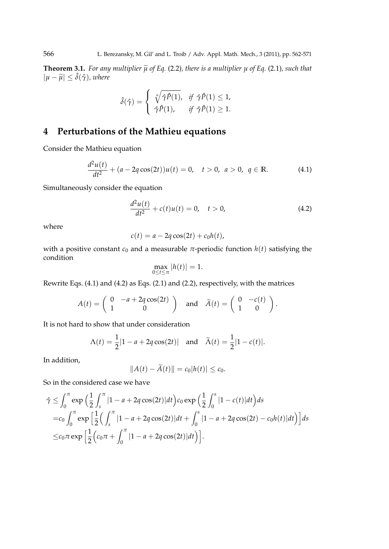**Theorem 3.1.** For any multiplier  $\widetilde{\mu}$  of Eq. (2.2), there is a multiplier  $\mu$  of Eq. (2.1), such that  $|\mu - \tilde{\mu}|$  ≤  $\hat{\delta}(\hat{\gamma})$ *, where* 

$$
\hat{\delta}(\hat{\gamma}) = \begin{cases} \sqrt[n]{\hat{\gamma}\hat{P}(1)}, & \text{if } \hat{\gamma}\hat{P}(1) \leq 1, \\ \hat{\gamma}\hat{P}(1), & \text{if } \hat{\gamma}\hat{P}(1) \geq 1. \end{cases}
$$

# **4 Perturbations of the Mathieu equations**

Consider the Mathieu equation

$$
\frac{d^2u(t)}{dt^2} + (a - 2q\cos(2t))u(t) = 0, \quad t > 0, \quad a > 0, \quad q \in \mathbb{R}.
$$
 (4.1)

Simultaneously consider the equation

$$
\frac{d^2u(t)}{dt^2} + c(t)u(t) = 0, \quad t > 0,
$$
\n(4.2)

where

$$
c(t) = a - 2q\cos(2t) + c_0h(t),
$$

with a positive constant  $c_0$  and a measurable  $\pi$ -periodic function  $h(t)$  satisfying the condition

$$
\max_{0\leq t\leq \pi}|h(t)|=1.
$$

Rewrite Eqs. (4.1) and (4.2) as Eqs. (2.1) and (2.2), respectively, with the matrices

$$
A(t) = \begin{pmatrix} 0 & -a + 2q\cos(2t) \\ 1 & 0 \end{pmatrix} \text{ and } \tilde{A}(t) = \begin{pmatrix} 0 & -c(t) \\ 1 & 0 \end{pmatrix}.
$$

It is not hard to show that under consideration

$$
\Lambda(t) = \frac{1}{2} |1 - a + 2q \cos(2t)|
$$
 and  $\widetilde{\Lambda}(t) = \frac{1}{2} |1 - c(t)|$ .

In addition,

$$
||A(t) - \widetilde{A}(t)|| = c_0|h(t)| \leq c_0.
$$

So in the considered case we have

$$
\hat{\gamma} \leq \int_0^{\pi} \exp\left(\frac{1}{2} \int_s^{\pi} |1 - a + 2q \cos(2t)| dt\right) c_0 \exp\left(\frac{1}{2} \int_0^s |1 - c(t)| dt\right) ds
$$
  
=  $c_0 \int_0^{\pi} \exp\left[\frac{1}{2} \left(\int_s^{\pi} |1 - a + 2q \cos(2t)| dt + \int_0^s |1 - a + 2q \cos(2t) - c_0 h(t)| dt\right)\right] ds$   
 $\leq c_0 \pi \exp\left[\frac{1}{2} \left(c_0 \pi + \int_0^{\pi} |1 - a + 2q \cos(2t)| dt\right)\right].$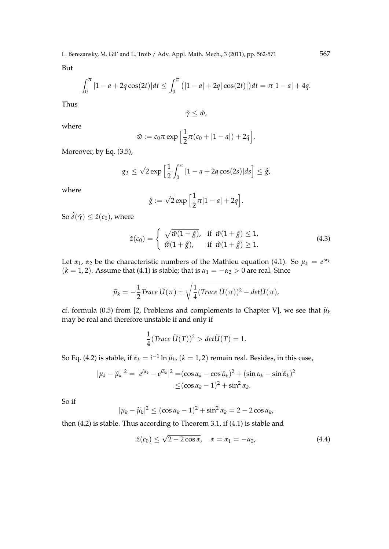But

$$
\int_0^{\pi} |1-a+2q\cos(2t)|dt \leq \int_0^{\pi} (|1-a|+2q|\cos(2t)|)dt = \pi |1-a|+4q.
$$

Thus

 $\hat{\gamma}$  ≤ *ŵ*,

where

$$
\hat{w} := c_0 \pi \exp \Big[ \frac{1}{2} \pi (c_0 + |1 - a|) + 2q \Big].
$$

Moreover, by Eq. (3.5),

$$
g_T \leq \sqrt{2} \exp \left[\frac{1}{2} \int_0^{\pi} |1 - a + 2q \cos(2s)| ds\right] \leq \hat{g},
$$

where

$$
\hat{g} := \sqrt{2} \exp\left[\frac{1}{2}\pi|1-a|+2q\right].
$$

So  $\hat{\delta}(\hat{\gamma}) \leq \hat{z}(c_0)$ , where

$$
\hat{z}(c_0) = \begin{cases}\n\sqrt{\hat{w}(1+\hat{g})}, & \text{if } \hat{w}(1+\hat{g}) \le 1, \\
\hat{w}(1+\hat{g}), & \text{if } \hat{w}(1+\hat{g}) \ge 1.\n\end{cases}
$$
\n(4.3)

Let  $\alpha_1$ ,  $\alpha_2$  be the characteristic numbers of the Mathieu equation (4.1). So  $\mu_k = e^{i\alpha_k}$  $(k = 1, 2)$ . Assume that (4.1) is stable; that is  $\alpha_1 = -\alpha_2 > 0$  are real. Since

$$
\widetilde{\mu}_k = -\frac{1}{2} Trace \ \widetilde{U}(\pi) \pm \sqrt{\frac{1}{4} (Trace \ \widetilde{U}(\pi))^2 - det \widetilde{U}(\pi)},
$$

cf. formula (0.5) from [2, Problems and complements to Chapter V], we see that  $\tilde{\mu}_k$ may be real and therefore unstable if and only if

$$
\frac{1}{4}(Trace \widetilde{U}(T))^{2} > det \widetilde{U}(T) = 1.
$$

So Eq. (4.2) is stable, if  $\widetilde{\alpha}_k = i^{-1} \ln \widetilde{\mu}_k$ ,  $(k = 1, 2)$  remain real. Besides, in this case,

$$
|\mu_k - \widetilde{\mu}_k|^2 = |e^{i\alpha_k} - e^{i\widetilde{\alpha}_k}|^2 = (\cos \alpha_k - \cos \widetilde{\alpha}_k)^2 + (\sin \alpha_k - \sin \widetilde{\alpha}_k)^2
$$
  

$$
\leq (\cos \alpha_k - 1)^2 + \sin^2 \alpha_k.
$$

So if

$$
|\mu_k - \widetilde{\mu}_k|^2 \leq (\cos \alpha_k - 1)^2 + \sin^2 \alpha_k = 2 - 2 \cos \alpha_k,
$$

then (4.2) is stable. Thus according to Theorem 3.1, if (4.1) is stable and

$$
\hat{z}(c_0) \le \sqrt{2 - 2\cos\alpha}, \quad \alpha = \alpha_1 = -\alpha_2,\tag{4.4}
$$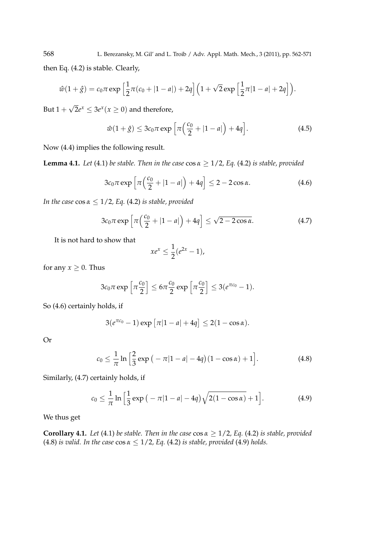$$
\hat{w}(1+\hat{g}) = c_0 \pi \exp\left[\frac{1}{2}\pi(c_0 + |1-a|) + 2q\right] \left(1 + \sqrt{2} \exp\left[\frac{1}{2}\pi|1-a| + 2q\right]\right).
$$

But  $1 + \sqrt{2}e^x \leq 3e^x$  (*x*  $\geq 0$ ) and therefore,

$$
\hat{w}(1+\hat{g}) \le 3c_0 \pi \exp\left[\pi \left(\frac{c_0}{2} + |1-a|\right) + 4q\right].
$$
 (4.5)

Now (4.4) implies the following result.

**Lemma 4.1.** *Let* (4.1) *be stable. Then in the case*  $\cos \alpha \geq 1/2$ *, Eq.* (4.2) *is stable, provided* 

$$
3c_0\pi \exp\left[\pi\left(\frac{c_0}{2} + |1 - a|\right) + 4q\right] \le 2 - 2\cos\alpha. \tag{4.6}
$$

*In the case* cos *α ≤* 1/2*, Eq.* (4.2) *is stable, provided*

$$
3c_0\pi \exp\left[\pi\left(\frac{c_0}{2} + |1 - a|\right) + 4q\right] \le \sqrt{2 - 2\cos\alpha}.\tag{4.7}
$$

It is not hard to show that

$$
xe^x \leq \frac{1}{2}(e^{2x}-1),
$$

for any  $x > 0$ . Thus

$$
3c_0\pi \exp\left[\pi \frac{c_0}{2}\right] \le 6\pi \frac{c_0}{2} \exp\left[\pi \frac{c_0}{2}\right] \le 3(e^{\pi c_0}-1).
$$

So (4.6) certainly holds, if

$$
3(e^{\pi c_0}-1)\exp[\pi|1-a|+4q]\leq 2(1-\cos\alpha).
$$

Or

$$
c_0 \leq \frac{1}{\pi} \ln \left[ \frac{2}{3} \exp \left( -\pi |1 - a| - 4q \right) (1 - \cos \alpha) + 1 \right]. \tag{4.8}
$$

Similarly, (4.7) certainly holds, if

$$
c_0 \leq \frac{1}{\pi} \ln \left[ \frac{1}{3} \exp \left( -\pi |1 - a| - 4q \right) \sqrt{2(1 - \cos \alpha)} + 1 \right]. \tag{4.9}
$$

We thus get

**Corollary 4.1.** *Let* (4.1) *be stable. Then in the case*  $\cos \alpha \geq 1/2$ *, Eq.* (4.2) *is stable, provided* (4.8) *is valid. In the case* cos *α ≤* 1/2*, Eq.* (4.2) *is stable, provided* (4.9) *holds.*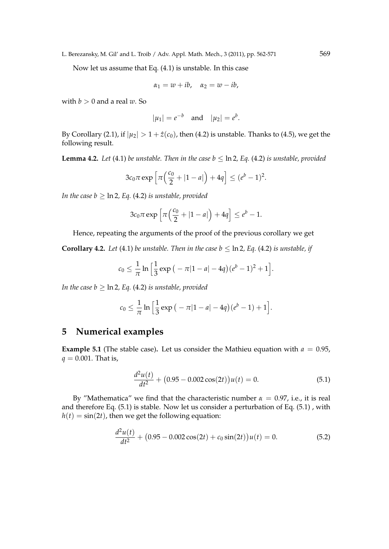L. Berezansky, M. Gil' and L. Troib / Adv. Appl. Math. Mech., 3 (2011), pp. 562-571 569

Now let us assume that Eq. (4.1) is unstable. In this case

$$
\alpha_1=w+ib,\quad \alpha_2=w-ib,
$$

with  $b > 0$  and a real  $w$ . So

$$
|\mu_1| = e^{-b}
$$
 and  $|\mu_2| = e^{b}$ .

By Corollary (2.1), if  $|\mu_2| > 1 + \hat{z}(c_0)$ , then (4.2) is unstable. Thanks to (4.5), we get the following result.

**Lemma 4.2.** *Let* (4.1) *be unstable. Then in the case*  $b \leq \ln 2$ *, Eq.* (4.2) *is unstable, provided* 

$$
3c_0\pi\exp\left[\pi\left(\frac{c_0}{2}+|1-a|\right)+4q\right]\leq (e^b-1)^2.
$$

*In the case b*  $\geq$   $\ln 2$ *, Eq.* (4.2) *is unstable, provided* 

$$
3c_0\pi\exp\left[\pi\left(\frac{c_0}{2}+|1-a|\right)+4q\right]\leq e^b-1.
$$

Hence, repeating the arguments of the proof of the previous corollary we get

**Corollary 4.2.** *Let* (4.1) *be unstable. Then in the case b*  $\leq$  ln 2*, Eq.* (4.2) *is unstable, if* 

$$
c_0 \leq \frac{1}{\pi} \ln \left[ \frac{1}{3} \exp \big( -\pi |1-a| - 4q \big) (e^b - 1)^2 + 1 \right].
$$

*In the case b > ln 2, Eq.* (4.2) *is unstable, provided* 

$$
c_0 \leq \frac{1}{\pi} \ln \Big[ \frac{1}{3} \exp \big(-\pi |1-a| - 4q\big) (e^b - 1) + 1 \Big].
$$

## **5 Numerical examples**

**Example 5.1** (The stable case). Let us consider the Mathieu equation with  $a = 0.95$ , *q* = 0.001. That is,

$$
\frac{d^2u(t)}{dt^2} + (0.95 - 0.002\cos(2t))u(t) = 0.
$$
\n(5.1)

By "Mathematica" we find that the characteristic number  $α = 0.97$ , i.e., it is real and therefore Eq. (5.1) is stable. Now let us consider a perturbation of Eq. (5.1) , with  $h(t) = \sin(2t)$ , then we get the following equation:

$$
\frac{d^2u(t)}{dt^2} + (0.95 - 0.002\cos(2t) + c_0\sin(2t))u(t) = 0.
$$
\n(5.2)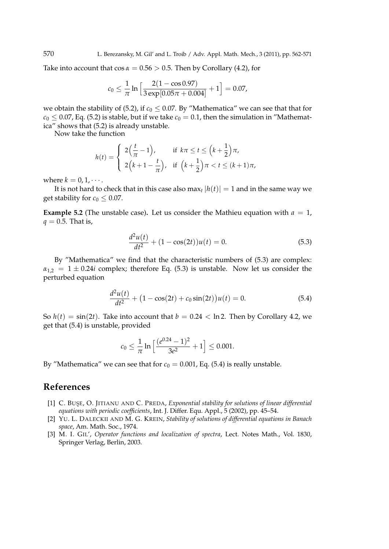Take into account that  $\cos \alpha = 0.56 > 0.5$ . Then by Corollary (4.2), for

$$
c_0 \leq \frac{1}{\pi} \ln \Big[\frac{2(1-\cos 0.97)}{3\exp[0.05\pi+0.004]}+1\Big] = 0.07,
$$

we obtain the stability of (5.2), if  $c_0 \le 0.07$ . By "Mathematica" we can see that that for  $c_0 \le 0.07$ , Eq. (5.2) is stable, but if we take  $c_0 = 0.1$ , then the simulation in "Mathematica" shows that (5.2) is already unstable.

Now take the function

$$
h(t) = \begin{cases} 2\left(\frac{t}{\pi} - 1\right), & \text{if } k\pi \le t \le \left(k + \frac{1}{2}\right)\pi, \\ 2\left(k + 1 - \frac{t}{\pi}\right), & \text{if } \left(k + \frac{1}{2}\right)\pi < t \le (k + 1)\pi, \end{cases}
$$

where  $k = 0, 1, \cdots$ .

It is not hard to check that in this case also  $\max_t |h(t)| = 1$  and in the same way we get stability for  $c_0 \leq 0.07$ .

**Example 5.2** (The unstable case). Let us consider the Mathieu equation with  $a = 1$ ,  $q = 0.5$ . That is,

$$
\frac{d^2u(t)}{dt^2} + (1 - \cos(2t))u(t) = 0.
$$
\n(5.3)

By "Mathematica" we find that the characteristic numbers of (5.3) are complex:  $\alpha_{1,2} = 1 \pm 0.24i$  complex; therefore Eq. (5.3) is unstable. Now let us consider the perturbed equation

$$
\frac{d^2u(t)}{dt^2} + (1 - \cos(2t) + c_0\sin(2t))u(t) = 0.
$$
\n(5.4)

So  $h(t) = \sin(2t)$ . Take into account that  $b = 0.24 < \ln 2$ . Then by Corollary 4.2, we get that (5.4) is unstable, provided

$$
c_0 \le \frac{1}{\pi} \ln \left[ \frac{(e^{0.24} - 1)^2}{3e^2} + 1 \right] \le 0.001.
$$

By "Mathematica" we can see that for  $c_0 = 0.001$ , Eq. (5.4) is really unstable.

## **References**

- [1] C. BUSE, O. JITIANU AND C. PREDA, *Exponential stability for solutions of linear differential equations with periodic coefficients*, Int. J. Differ. Equ. Appl., 5 (2002), pp. 45–54.
- [2] YU. L. DALECKII AND M. G. KREIN, *Stability of solutions of differential equations in Banach space*, Am. Math. Soc., 1974.
- [3] M. I. GIL', *Operator functions and localization of spectra*, Lect. Notes Math., Vol. 1830, Springer Verlag, Berlin, 2003.